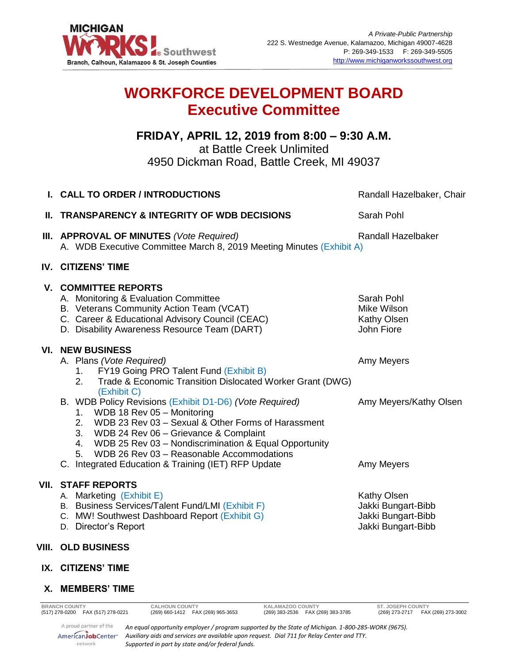

# **WORKFORCE DEVELOPMENT BOARD Executive Committee**

## **FRIDAY, APRIL 12, 2019 from 8:00 – 9:30 A.M.** at Battle Creek Unlimited 4950 Dickman Road, Battle Creek, MI 49037

|    | I. CALL TO ORDER / INTRODUCTIONS                                                                                                                                                                                                                                                                                                                                          | Randall Hazelbaker, Chair                                                     |
|----|---------------------------------------------------------------------------------------------------------------------------------------------------------------------------------------------------------------------------------------------------------------------------------------------------------------------------------------------------------------------------|-------------------------------------------------------------------------------|
| Ш. | <b>TRANSPARENCY &amp; INTEGRITY OF WDB DECISIONS</b>                                                                                                                                                                                                                                                                                                                      | Sarah Pohl                                                                    |
|    | III. APPROVAL OF MINUTES (Vote Required)<br>A. WDB Executive Committee March 8, 2019 Meeting Minutes (Exhibit A)                                                                                                                                                                                                                                                          | <b>Randall Hazelbaker</b>                                                     |
|    | IV. CITIZENS' TIME                                                                                                                                                                                                                                                                                                                                                        |                                                                               |
|    | <b>V. COMMITTEE REPORTS</b><br>A. Monitoring & Evaluation Committee<br>B. Veterans Community Action Team (VCAT)<br>C. Career & Educational Advisory Council (CEAC)<br>D. Disability Awareness Resource Team (DART)                                                                                                                                                        | Sarah Pohl<br>Mike Wilson<br>Kathy Olsen<br>John Fiore                        |
|    | <b>VI. NEW BUSINESS</b><br>A. Plans (Vote Required)<br>FY19 Going PRO Talent Fund (Exhibit B)<br>1.<br>2.<br>Trade & Economic Transition Dislocated Worker Grant (DWG)<br>(Exhibit C)                                                                                                                                                                                     | Amy Meyers                                                                    |
|    | B. WDB Policy Revisions (Exhibit D1-D6) (Vote Required)<br>WDB 18 Rev 05 - Monitoring<br>1.<br>WDB 23 Rev 03 - Sexual & Other Forms of Harassment<br>2.<br>3. WDB 24 Rev 06 - Grievance & Complaint<br>4. WDB 25 Rev 03 - Nondiscrimination & Equal Opportunity<br>WDB 26 Rev 03 - Reasonable Accommodations<br>5.<br>C. Integrated Education & Training (IET) RFP Update | Amy Meyers/Kathy Olsen<br>Amy Meyers                                          |
|    | <b>VII. STAFF REPORTS</b><br>A. Marketing (Exhibit E)<br>B. Business Services/Talent Fund/LMI (Exhibit F)<br>C. MW! Southwest Dashboard Report (Exhibit G)<br>D. Director's Report                                                                                                                                                                                        | Kathy Olsen<br>Jakki Bungart-Bibb<br>Jakki Bungart-Bibb<br>Jakki Bungart-Bibb |
|    | VIII. OLD BUSINESS                                                                                                                                                                                                                                                                                                                                                        |                                                                               |
|    | IX. CITIZENS' TIME                                                                                                                                                                                                                                                                                                                                                        |                                                                               |
|    | X. MEMBERS' TIME                                                                                                                                                                                                                                                                                                                                                          |                                                                               |
|    | <b>BRANCH COUNTY</b><br><b>CALHOUN COUNTY</b><br>KALAMAZOO COUNTY<br>(269) 660-1412  FAX (269) 965-3653<br>(517) 278-0200 FAX (517) 278-0221<br>(269) 383-2536  FAX (269) 383-3785                                                                                                                                                                                        | <b>ST. JOSEPH COUNTY</b><br>(269) 273-2717  FAX (269) 273-3002                |

A proud partner of the *An equal opportunity employer / program supported by the State of Michigan. 1-800-285-WORK (9675).* AmericanJobCenter\* *Auxiliary aids and services are available upon request. Dial 711 for Relay Center and TTY. Supported in part by state and/or federal funds.*

network